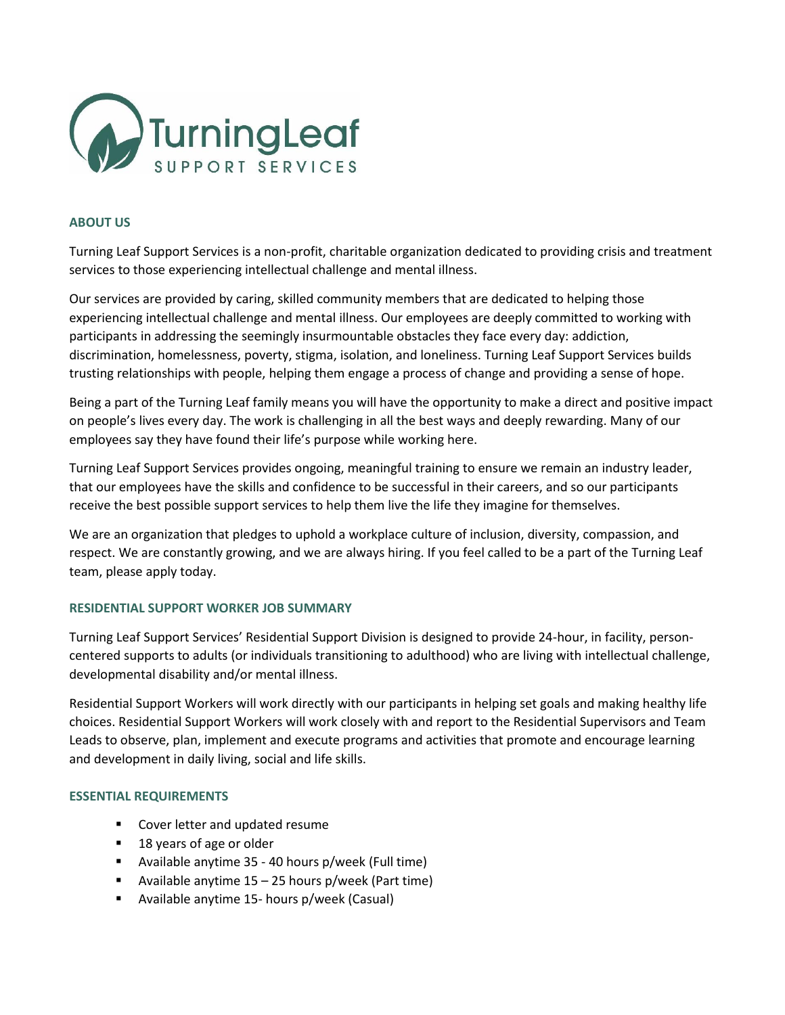

## **ABOUT US**

Turning Leaf Support Services is a non-profit, charitable organization dedicated to providing crisis and treatment services to those experiencing intellectual challenge and mental illness.

Our services are provided by caring, skilled community members that are dedicated to helping those experiencing intellectual challenge and mental illness. Our employees are deeply committed to working with participants in addressing the seemingly insurmountable obstacles they face every day: addiction, discrimination, homelessness, poverty, stigma, isolation, and loneliness. Turning Leaf Support Services builds trusting relationships with people, helping them engage a process of change and providing a sense of hope.

Being a part of the Turning Leaf family means you will have the opportunity to make a direct and positive impact on people's lives every day. The work is challenging in all the best ways and deeply rewarding. Many of our employees say they have found their life's purpose while working here.

Turning Leaf Support Services provides ongoing, meaningful training to ensure we remain an industry leader, that our employees have the skills and confidence to be successful in their careers, and so our participants receive the best possible support services to help them live the life they imagine for themselves.

We are an organization that pledges to uphold a workplace culture of inclusion, diversity, compassion, and respect. We are constantly growing, and we are always hiring. If you feel called to be a part of the Turning Leaf team, please apply today.

## **RESIDENTIAL SUPPORT WORKER JOB SUMMARY**

Turning Leaf Support Services' Residential Support Division is designed to provide 24-hour, in facility, personcentered supports to adults (or individuals transitioning to adulthood) who are living with intellectual challenge, developmental disability and/or mental illness.

Residential Support Workers will work directly with our participants in helping set goals and making healthy life choices. Residential Support Workers will work closely with and report to the Residential Supervisors and Team Leads to observe, plan, implement and execute programs and activities that promote and encourage learning and development in daily living, social and life skills.

## **ESSENTIAL REQUIREMENTS**

- Cover letter and updated resume
- 18 years of age or older
- Available anytime 35 40 hours p/week (Full time)
- Available anytime  $15 25$  hours p/week (Part time)
- Available anytime 15- hours p/week (Casual)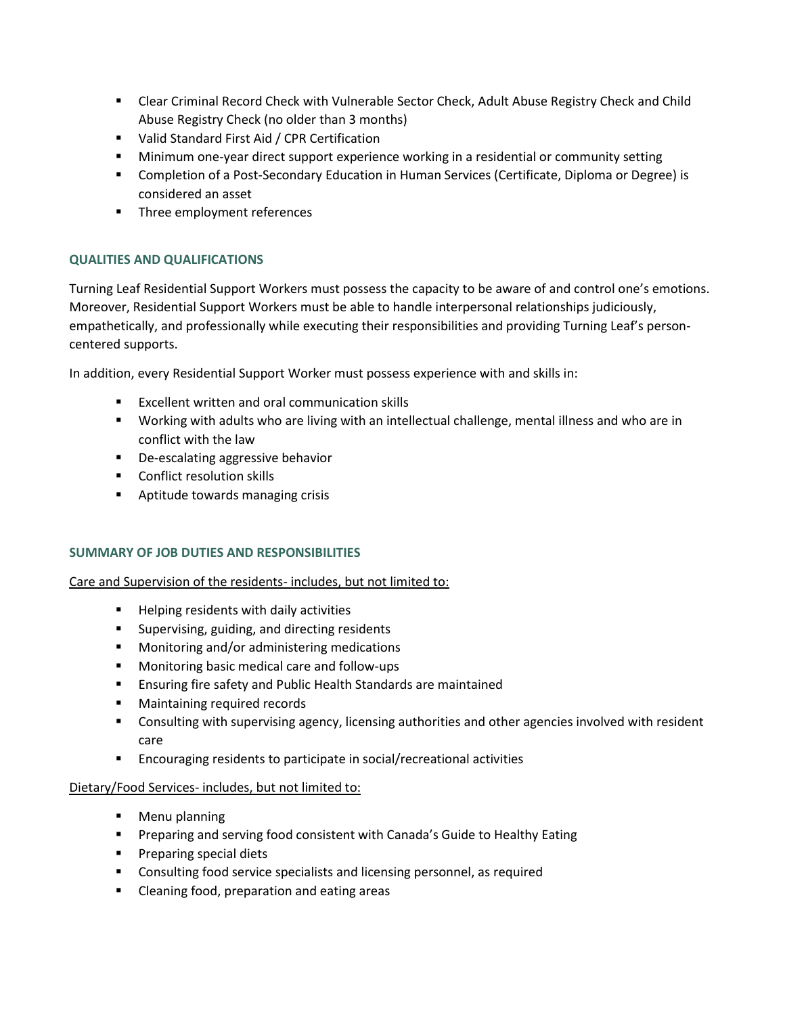- Clear Criminal Record Check with Vulnerable Sector Check, Adult Abuse Registry Check and Child Abuse Registry Check (no older than 3 months)
- Valid Standard First Aid / CPR Certification
- **■** Minimum one-year direct support experience working in a residential or community setting
- Completion of a Post-Secondary Education in Human Services (Certificate, Diploma or Degree) is considered an asset
- Three employment references

# **QUALITIES AND QUALIFICATIONS**

Turning Leaf Residential Support Workers must possess the capacity to be aware of and control one's emotions. Moreover, Residential Support Workers must be able to handle interpersonal relationships judiciously, empathetically, and professionally while executing their responsibilities and providing Turning Leaf's personcentered supports.

In addition, every Residential Support Worker must possess experience with and skills in:

- Excellent written and oral communication skills
- Working with adults who are living with an intellectual challenge, mental illness and who are in conflict with the law
- De-escalating aggressive behavior
- Conflict resolution skills
- Aptitude towards managing crisis

## **SUMMARY OF JOB DUTIES AND RESPONSIBILITIES**

Care and Supervision of the residents- includes, but not limited to:

- Helping residents with daily activities
- Supervising, guiding, and directing residents
- Monitoring and/or administering medications
- Monitoring basic medical care and follow-ups
- Ensuring fire safety and Public Health Standards are maintained
- Maintaining required records
- Consulting with supervising agency, licensing authorities and other agencies involved with resident care
- Encouraging residents to participate in social/recreational activities

## Dietary/Food Services- includes, but not limited to:

- Menu planning
- Preparing and serving food consistent with Canada's Guide to Healthy Eating
- Preparing special diets
- Consulting food service specialists and licensing personnel, as required
- Cleaning food, preparation and eating areas